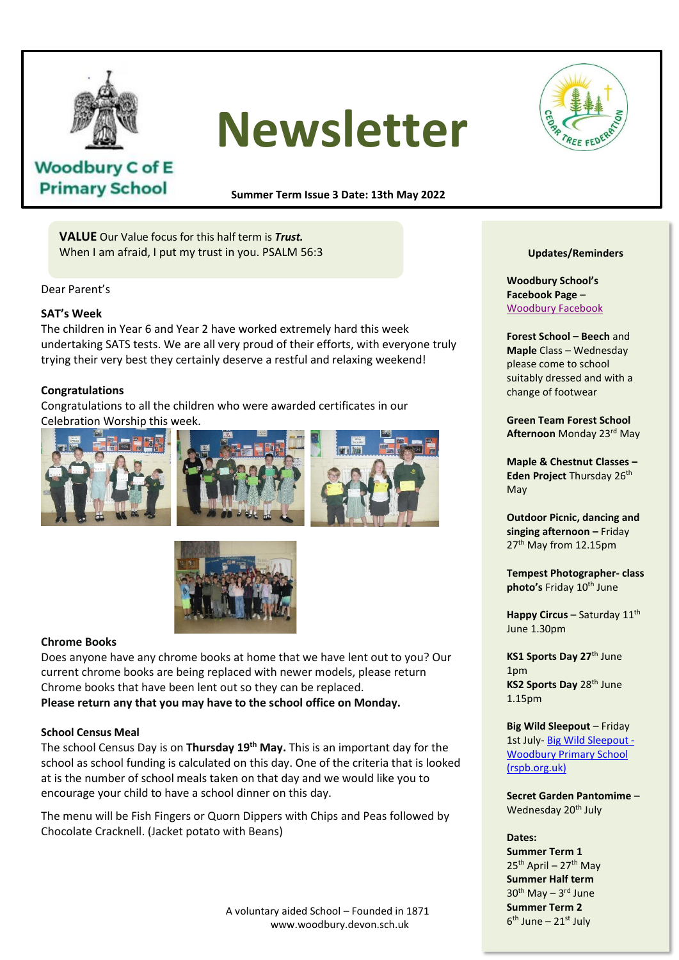

# **Newsletter**



# **Woodbury C of E Primary School**

**Summer Term Issue 3 Date: 13th May 2022**

**VALUE** Our Value focus for this half term is *Trust.* When I am afraid, I put my trust in you. PSALM 56:3

Dear Parent's

# **SAT's Week**

The children in Year 6 and Year 2 have worked extremely hard this week undertaking SATS tests. We are all very proud of their efforts, with everyone truly trying their very best they certainly deserve a restful and relaxing weekend!

# **Congratulations**

**Congratulations**<br>Congratulations to all the children who were awarded certificates in our Celebration Worship this week. protects, always trusts, always hopes,





# **Chrome Books**

Does anyone have any chrome books at home that we have lent out to you? Our current chrome books are being replaced with newer models, please return Chrome books that have been lent out so they can be replaced. **Please return any that you may have to the school office on Monday.**

#### **School Census Meal**

The school Census Day is on **Thursday 19th May.** This is an important day for the school as school funding is calculated on this day. One of the criteria that is looked at is the number of school meals taken on that day and we would like you to encourage your child to have a school dinner on this day.

The menu will be Fish Fingers or Quorn Dippers with Chips and Peas followed by Chocolate Cracknell. (Jacket potato with Beans)

#### **Updates/Reminders**

**Woodbury School's Facebook Page** – Woodbury Facebook

**Forest School – Beech** and **Maple** Class – Wednesday please come to school suitably dressed and with a change of footwear

**Green Team Forest School Afternoon** Monday 23rd May

**Maple & Chestnut Classes – Eden Project Thursday 26th** May

**Outdoor Picnic, dancing and singing afternoon –** Friday 27<sup>th</sup> May from 12.15pm

**Tempest Photographer- class photo's Friday 10<sup>th</sup> June** 

**Happy Circus – Saturday 11th** June 1.30pm

**KS1 Sports Day 27**th June 1pm **KS2 Sports Day** 28th June 1.15pm

**Big Wild Sleepout** – Friday 1st July- Big Wild Sleepout -Woodbury Primary School (rspb.org.uk)

**Secret Garden Pantomime** – Wednesday 20<sup>th</sup> July

#### **Dates:**

**Summer Term 1**  $25<sup>th</sup>$  April – 27<sup>th</sup> May **Summer Half term** 30<sup>th</sup> May – 3<sup>rd</sup> June **Summer Term 2** 6<sup>th</sup> June – 21st July

A voluntary aided School – Founded in 1871 www.woodbury.devon.sch.uk